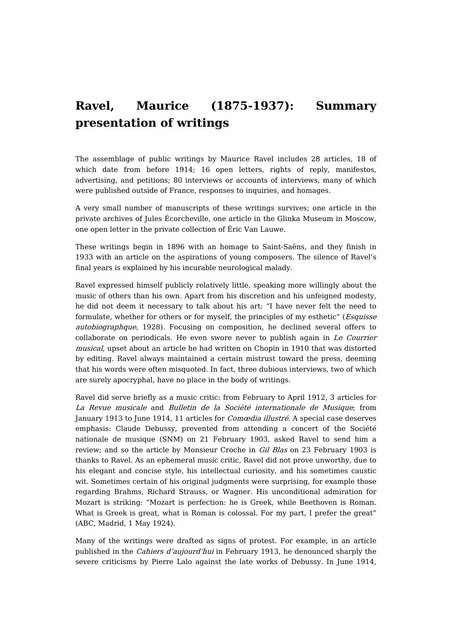## **Ravel, Maurice (1875-1937): Summary presentation of writings**

The assemblage of public writings by Maurice Ravel includes 28 articles, 18 of which date from before 1914; 16 open letters, rights of reply, manifestos, advertising, and petitions; 80 interviews or accounts of interviews, many of which were published outside of France, responses to inquiries, and homages.

A very small number of manuscripts of these writings survives; one article in the private archives of Jules Écorcheville, one article in the Glinka Museum in Moscow, one open letter in the private collection of Éric Van Lauwe.

These writings begin in 1896 with an homage to Saint-Saëns, and they finish in 1933 with an article on the aspirations of young composers. The silence of Ravel's final years is explained by his incurable neurological malady.

Ravel expressed himself publicly relatively little, speaking more willingly about the music of others than his own. Apart from his discretion and his unfeigned modesty, he did not deem it necessary to talk about his art: "I have never felt the need to formulate, whether for others or for myself, the principles of my esthetic" (*Esquisse* autobiographque, 1928). Focusing on composition, he declined several offers to collaborate on periodicals. He even swore never to publish again in Le Courrier musical, upset about an article he had written on Chopin in 1910 that was distorted by editing. Ravel always maintained a certain mistrust toward the press, deeming that his words were often misquoted. In fact, three dubious interviews, two of which are surely apocryphal, have no place in the body of writings.

Ravel did serve briefly as a music critic: from February to April 1912, 3 articles for La Revue musicale and Bulletin de la Société internationale de Musique; from January 1913 to June 1914, 11 articles for Comœdia illustré. A special case deserves emphasis: Claude Debussy, prevented from attending a concert of the Société nationale de musique (SNM) on 21 February 1903, asked Ravel to send him a review; and so the article by Monsieur Croche in *Gil Blas* on 23 February 1903 is thanks to Ravel. As an ephemeral music critic, Ravel did not prove unworthy, due to his elegant and concise style, his intellectual curiosity, and his sometimes caustic wit. Sometimes certain of his original judgments were surprising, for example those regarding Brahms, Richard Strauss, or Wagner. His unconditional admiration for Mozart is striking: "Mozart is perfection: he is Greek, while Beethoven is Roman. What is Greek is great, what is Roman is colossal. For my part, I prefer the great" (ABC, Madrid, 1 May 1924).

Many of the writings were drafted as signs of protest. For example, in an article published in the Cahiers d'aujourd'hui in February 1913, he denounced sharply the severe criticisms by Pierre Lalo against the late works of Debussy. In June 1914,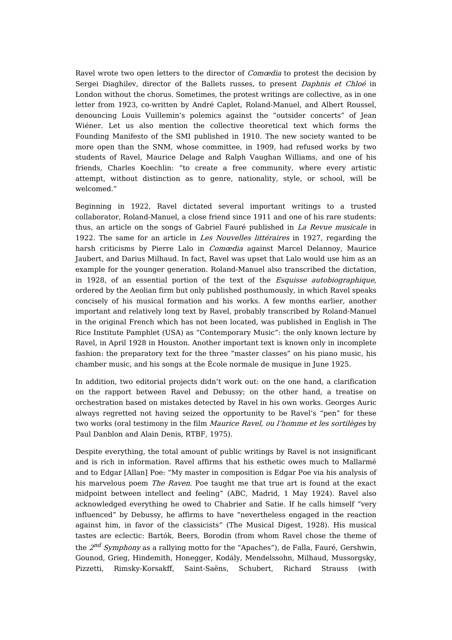Ravel wrote two open letters to the director of *Comœdia* to protest the decision by Sergei Diaghilev, director of the Ballets russes, to present Daphnis et Chloé in London without the chorus. Sometimes, the protest writings are collective, as in one letter from 1923, co-written by André Caplet, Roland-Manuel, and Albert Roussel, denouncing Louis Vuillemin's polemics against the "outsider concerts" of Jean Wiéner. Let us also mention the collective theoretical text which forms the Founding Manifesto of the SMI published in 1910. The new society wanted to be more open than the SNM, whose committee, in 1909, had refused works by two students of Ravel, Maurice Delage and Ralph Vaughan Williams, and one of his friends, Charles Koechlin: "to create a free community, where every artistic attempt, without distinction as to genre, nationality, style, or school, will be welcomed."

Beginning in 1922, Ravel dictated several important writings to a trusted collaborator, Roland-Manuel, a close friend since 1911 and one of his rare students: thus, an article on the songs of Gabriel Fauré published in La Revue musicale in 1922. The same for an article in Les Nouvelles littéraires in 1927, regarding the harsh criticisms by Pierre Lalo in *Comœdia* against Marcel Delannoy, Maurice Jaubert, and Darius Milhaud. In fact, Ravel was upset that Lalo would use him as an example for the younger generation. Roland-Manuel also transcribed the dictation, in 1928, of an essential portion of the text of the Esquisse autobiographique, ordered by the Aeolian firm but only published posthumously, in which Ravel speaks concisely of his musical formation and his works. A few months earlier, another important and relatively long text by Ravel, probably transcribed by Roland-Manuel in the original French which has not been located, was published in English in The Rice Institute Pamphlet (USA) as "Contemporary Music": the only known lecture by Ravel, in April 1928 in Houston. Another important text is known only in incomplete fashion: the preparatory text for the three "master classes" on his piano music, his chamber music, and his songs at the École normale de musique in June 1925.

In addition, two editorial projects didn't work out: on the one hand, a clarification on the rapport between Ravel and Debussy; on the other hand, a treatise on orchestration based on mistakes detected by Ravel in his own works. Georges Auric always regretted not having seized the opportunity to be Ravel's "pen" for these two works (oral testimony in the film Maurice Ravel, ou l'homme et les sortilèges by Paul Danblon and Alain Denis, RTBF, 1975).

Despite everything, the total amount of public writings by Ravel is not insignificant and is rich in information. Ravel affirms that his esthetic owes much to Mallarmé and to Edgar [Allan] Poe: "My master in composition is Edgar Poe via his analysis of his marvelous poem *The Raven*. Poe taught me that true art is found at the exact midpoint between intellect and feeling" (ABC, Madrid, 1 May 1924). Ravel also acknowledged everything he owed to Chabrier and Satie. If he calls himself "very influenced" by Debussy, he affirms to have "nevertheless engaged in the reaction against him, in favor of the classicists" (The Musical Digest, 1928). His musical tastes are eclectic: Bartók, Beers, Borodin (from whom Ravel chose the theme of the 2<sup>nd</sup> Symphony as a rallying motto for the "Apaches"), de Falla, Fauré, Gershwin, Gounod, Grieg, Hindemith, Honegger, Kodály, Mendelssohn, Milhaud, Mussorgsky, Pizzetti, Rimsky-Korsakff, Saint-Saëns, Schubert, Richard Strauss (with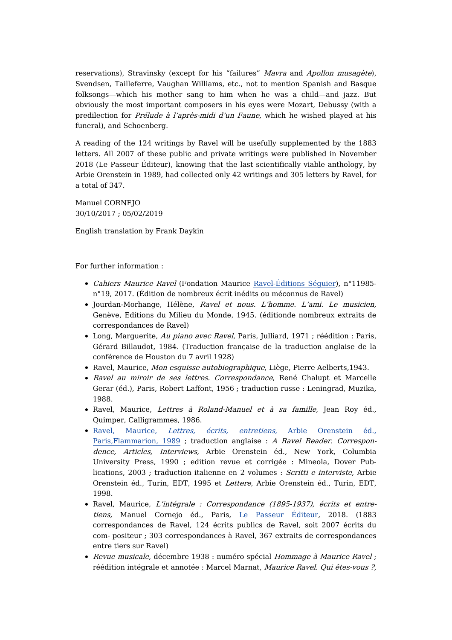reservations), Stravinsky (except for his "failures" Mavra and Apollon musagète), Svendsen, Tailleferre, Vaughan Williams, etc., not to mention Spanish and Basque folksongs—which his mother sang to him when he was a child—and jazz. But obviously the most important composers in his eyes were Mozart, Debussy (with a predilection for Prélude à l'après-midi d'un Faune, which he wished played at his funeral), and Schoenberg.

A reading of the 124 writings by Ravel will be usefully supplemented by the 1883 letters. All 2007 of these public and private writings were published in November 2018 (Le Passeur Éditeur), knowing that the last scientifically viable anthology, by Arbie Orenstein in 1989, had collected only 42 writings and 305 letters by Ravel, for a total of 347.

Manuel CORNEJO 30/10/2017 ; 05/02/2019

English translation by Frank Daykin

For further information :

- Cahiers Maurice Ravel (Fondation Maurice [Ravel-Éditions](http://www.editions-seguier.fr/categorie-produit/tout/cahiers-ravel) Séguier), n°11985 n°19, 2017. (Édition de nombreux écrit inédits ou méconnus de Ravel)
- Jourdan-Morhange, Hélène, Ravel et nous. L'homme. L'ami. Le musicien, Genève, Editions du Milieu du Monde, 1945. (éditionde nombreux extraits de correspondances de Ravel)
- Long, Marguerite, Au piano avec Ravel, Paris, Julliard, 1971 ; réédition : Paris, Gérard Billaudot, 1984. (Traduction française de la traduction anglaise de la conférence de Houston du 7 avril 1928)
- Ravel, Maurice, Mon esquisse autobiographique, Liège, Pierre Aelberts, 1943.
- Ravel au miroir de ses lettres. Correspondance, René Chalupt et Marcelle Gerar (éd.), Paris, Robert Laffont, 1956 ; traduction russe : Leningrad, Muzika, 1988.
- Ravel, Maurice, Lettres à Roland-Manuel et à sa famille, Jean Roy éd., Quimper, Calligrammes, 1986.
- Ravel, Maurice, Lettres, écrits, entretiens, Arbie Orenstein éd., [Paris,Flammarion,](https://dicteco.huma-num.fr/fr/anthology/15188) 1989 ; traduction anglaise : A Ravel Reader. Correspondence, Articles, Interviews, Arbie Orenstein éd., New York, Columbia University Press, 1990 ; edition revue et corrigée : Mineola, Dover Publications, 2003 ; traduction italienne en 2 volumes : Scritti <sup>e</sup> interviste, Arbie Orenstein éd., Turin, EDT, 1995 et Lettere, Arbie Orenstein éd., Turin, EDT, 1998.
- Ravel, Maurice, L'intégrale : Correspondance (1895-1937), écrits et entretiens, Manuel Cornejo éd., Paris, Le [Passeur](https://www.le-passeur-editeur.com/) Éditeur, 2018. (1883 correspondances de Ravel, 124 écrits publics de Ravel, soit 2007 écrits du com- positeur ; 303 correspondances à Ravel, 367 extraits de correspondances entre tiers sur Ravel)
- Revue musicale, décembre 1938 : numéro spécial Hommage à Maurice Ravel ; réédition intégrale et annotée : Marcel Marnat, Maurice Ravel. Qui êtes-vous ?,